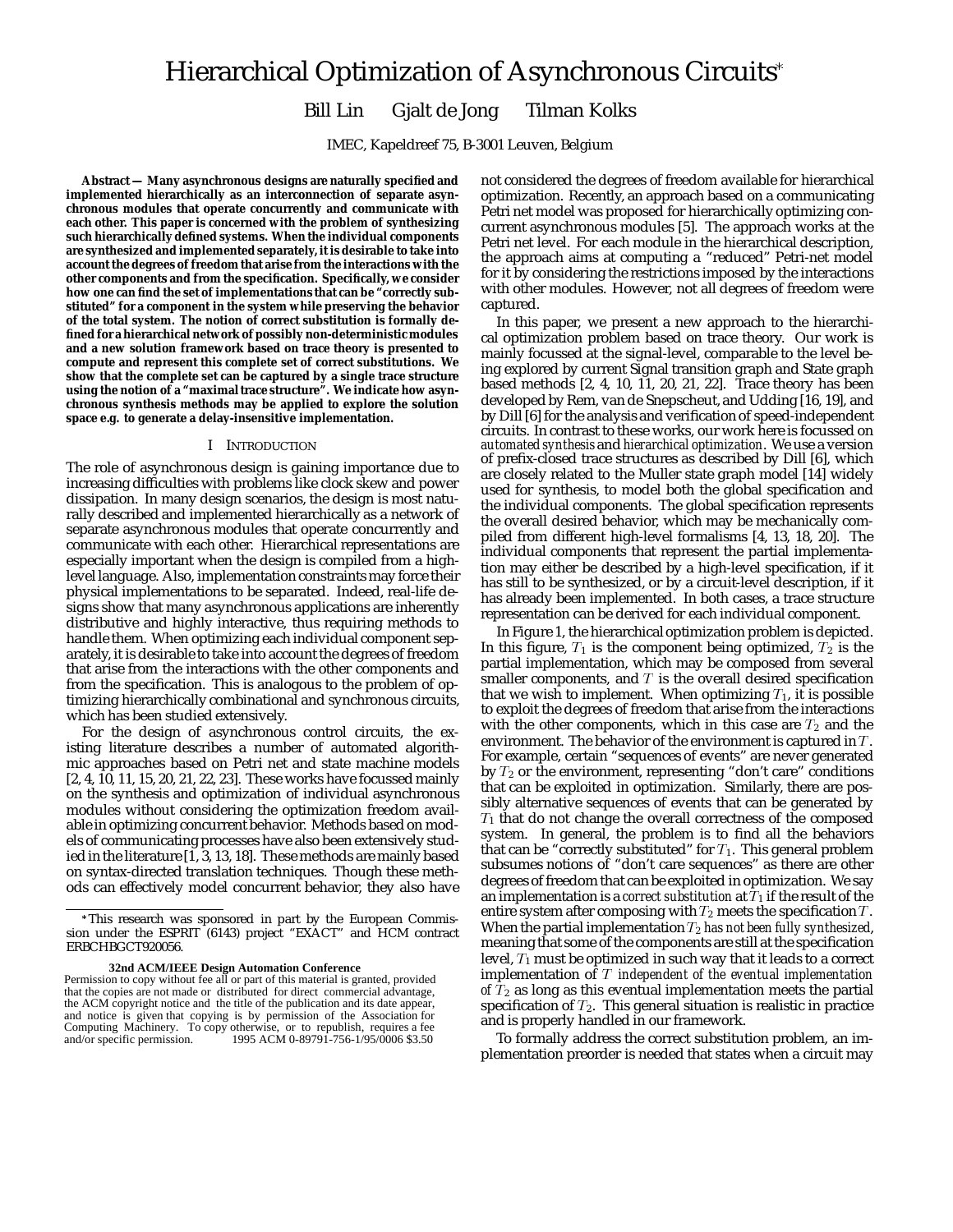# Hierarchical Optimization of Asynchronous Circuits

## Bill Lin Gjalt de Jong Tilman Kolks

IMEC, Kapeldreef 75, B-3001 Leuven, Belgium

**Abstract — Many asynchronous designs are naturally specified and implemented hierarchically as an interconnection of separate asynchronous modules that operate concurrently and communicate with each other. This paper is concerned with the problem of synthesizing such hierarchically defined systems. When the individual components are synthesized and implemented separately, it is desirable to take into account the degrees of freedom that arise from the interactions with the other components and from the specification. Specifically, we consider how one can find the set of implementations that can be "correctly substituted" for a component in the system while preserving the behavior of the total system. The notion of correct substitution is formally defined for a hierarchical network of possibly non-deterministic modules and a new solution framework based on trace theory is presented to compute and represent this complete set of correct substitutions. We show that the complete set can be captured by a single trace structure using the notion of a "maximaltrace structure". We indicate how asynchronous synthesis methods may be applied to explore the solution space e.g. to generate a delay-insensitive implementation.**

#### I INTRODUCTION

The role of asynchronous design is gaining importance due to increasing difficulties with problems like clock skew and power dissipation. In many design scenarios, the design is most naturally described and implemented hierarchically as a network of separate asynchronous modules that operate concurrently and communicate with each other. Hierarchical representations are especially important when the design is compiled from a highlevel language. Also, implementation constraints may force their physical implementations to be separated. Indeed, real-life designs show that many asynchronous applications are inherently distributive and highly interactive, thus requiring methods to handle them. When optimizing each individual component separately, it is desirable to take into account the degrees of freedom that arise from the interactions with the other components and from the specification. This is analogous to the problem of optimizing hierarchically combinational and synchronous circuits, which has been studied extensively.

For the design of asynchronous control circuits, the existing literature describes a number of automated algorithmic approaches based on Petri net and state machine models [2, 4, 10, 11, 15, 20, 21, 22, 23]. These works have focussed mainly on the synthesis and optimization of individual asynchronous modules without considering the optimization freedom available in optimizing concurrent behavior. Methods based on models of communicating processes have also been extensively studied in the literature [1, 3, 13, 18]. These methods are mainly based on syntax-directed translation techniques. Though these methods can effectively model concurrent behavior, they also have

#### **32nd ACM/IEEE Design Automation Conference**

not considered the degrees of freedom available for hierarchical optimization. Recently, an approach based on a communicating Petri net model was proposed for hierarchically optimizing concurrent asynchronous modules [5]. The approach works at the Petri net level. For each module in the hierarchical description, the approach aims at computing a "reduced" Petri-net model for it by considering the restrictions imposed by the interactions with other modules. However, not all degrees of freedom were captured.

In this paper, we present a new approach to the hierarchical optimization problem based on trace theory. Our work is mainly focussed at the signal-level, comparable to the level being explored by current Signal transition graph and State graph based methods [2, 4, 10, 11, 20, 21, 22]. Trace theory has been developed by Rem, van de Snepscheut, and Udding [16, 19], and by Dill [6] for the analysis and verification of speed-independent circuits. In contrast to these works, our work here is focussed on *automated synthesis* and *hierarchical optimization*. We use a version of prefix-closed trace structures as described by Dill [6], which are closely related to the Muller state graph model [14] widely used for synthesis, to model both the global specification and the individual components. The global specification represents the overall desired behavior, which may be mechanically compiled from different high-level formalisms [4, 13, 18, 20]. The individual components that represent the partial implementation may either be described by a high-level specification, if it has still to be synthesized, or by a circuit-level description, if it has already been implemented. In both cases, a trace structure representation can be derived for each individual component.

In Figure 1, the hierarchical optimization problem is depicted. In this figure,  $T_1$  is the component being optimized,  $T_2$  is the partial implementation, which may be composed from several smaller components, and  $T$  is the overall desired specification that we wish to implement. When optimizing  $T_1$ , it is possible to exploit the degrees of freedom that arise from the interactions with the other components, which in this case are  $T_2$  and the environment. The behavior of the environment is captured in  $T$ . For example, certain "sequences of events" are never generated by  $T_2$  or the environment, representing "don't care" conditions that can be exploited in optimization. Similarly, there are possibly alternative sequences of events that can be generated by  $T_1$  that do not change the overall correctness of the composed system. In general, the problem is to find all the behaviors that can be "correctly substituted" for  $T_1$ . This general problem subsumes notions of "don't care sequences" as there are other degrees of freedom that can be exploited in optimization. We say an implementation is a *correct substitution* at  $T_1$  if the result of the entire system after composing with  $T_2$  meets the specification  $T$ . When the partial implementation <sup>T</sup><sup>2</sup> *has not been fully synthesized*, meaning that some of the components are still at the specification level,  $T_1$  must be optimized in such way that it leads to a correct implementation of T *independent of the eventual implementation of*  $T_2$  as long as this eventual implementation meets the partial specification of  $T_2$ . This general situation is realistic in practice and is properly handled in our framework.

To formally address the correct substitution problem, an implementation preorder is needed that states when a circuit may

This research was sponsored in part by the European Commission under the ESPRIT (6143) project "EXACT" and HCM contract ERBCHBGCT920056.

Permission to copy without fee all or part of this material is granted, provided that the copies are not made or distributed for direct commercial advantage, the ACM copyright notice and the title of the publication and its date appear, and notice is given that copying is by permission of the Association for<br>Computing Machinery. To copy otherwise, or to republish, requires a fee<br>and/or specific permission. © 1995 ACM 0-89791-756-1/95/0006 \$3.50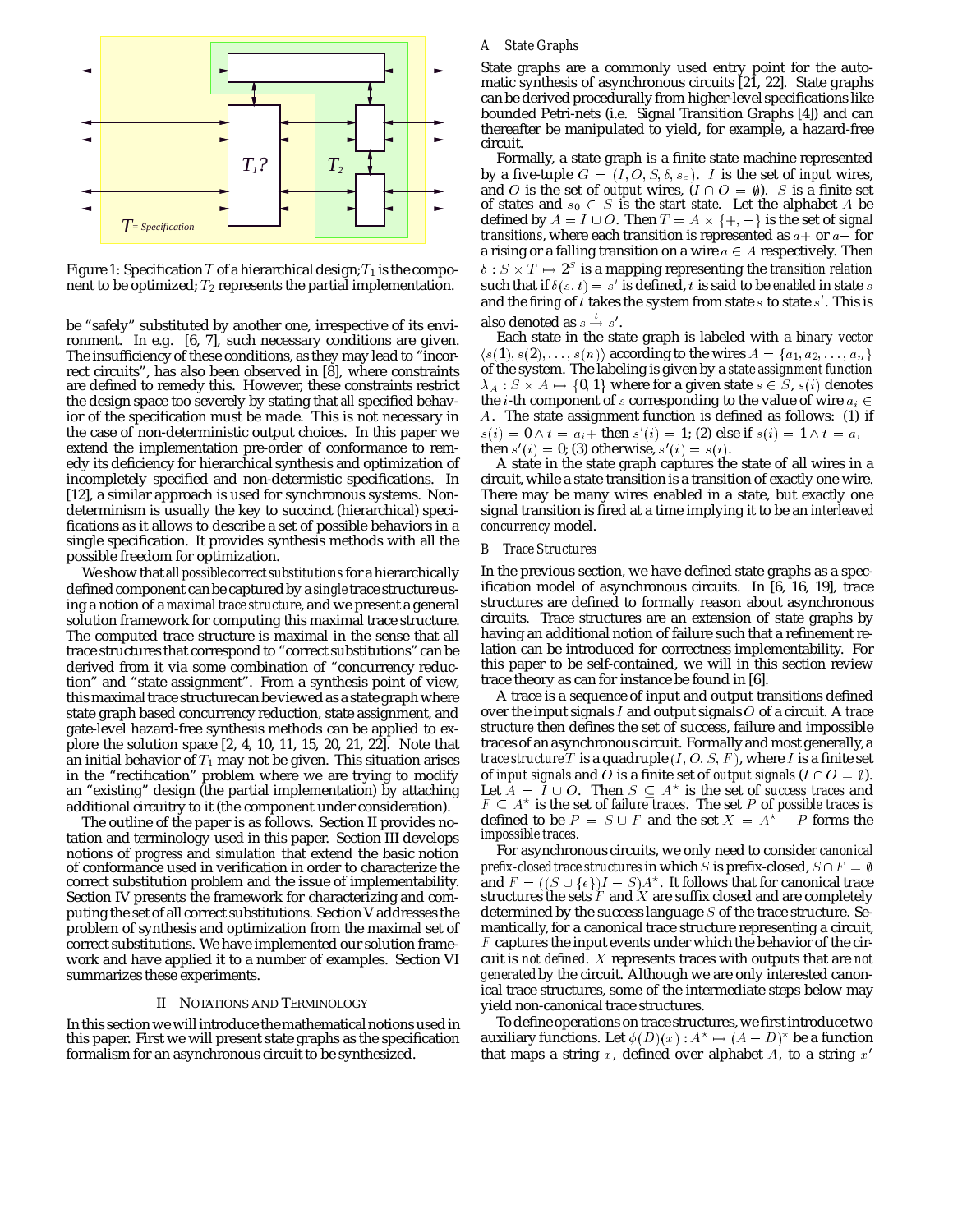

Figure 1: Specification T of a hierarchical design;  $T_1$  is the component to be optimized;  $T_2$  represents the partial implementation.

be "safely" substituted by another one, irrespective of its environment. In e.g. [6, 7], such necessary conditions are given. The insufficiency of these conditions, as they may lead to "incorrect circuits", has also been observed in [8], where constraints are defined to remedy this. However, these constraints restrict the design space too severely by stating that *all* specified behavior of the specification must be made. This is not necessary in the case of non-deterministic output choices. In this paper we extend the implementation pre-order of conformance to remedy its deficiency for hierarchical synthesis and optimization of incompletely specified and non-determistic specifications. In [12], a similar approach is used for synchronous systems. Nondeterminism is usually the key to succinct (hierarchical) specifications as it allows to describe a set of possible behaviors in a single specification. It provides synthesis methods with all the possible freedom for optimization.

We show that *all possible correctsubstitutions*for a hierarchically defined component can be captured by a *single*trace structure using a notion of a *maximal trace structure*, and we present a general solution framework for computing this maximal trace structure. The computed trace structure is maximal in the sense that all trace structures that correspond to "correct substitutions" can be derived from it via some combination of "concurrency reduction" and "state assignment". From a synthesis point of view, this maximal trace structurecan be viewed as a state graph where state graph based concurrency reduction, state assignment, and gate-level hazard-free synthesis methods can be applied to explore the solution space [2, 4, 10, 11, 15, 20, 21, 22]. Note that an initial behavior of  $T_1$  may not be given. This situation arises in the "rectification" problem where we are trying to modify an "existing" design (the partial implementation) by attaching additional circuitry to it (the component under consideration).

The outline of the paper is as follows. Section II provides notation and terminology used in this paper. Section III develops notions of *progress* and *simulation* that extend the basic notion of conformance used in verification in order to characterize the correct substitution problem and the issue of implementability. Section IV presents the framework for characterizing and computing the set of all correct substitutions. Section V addresses the problem of synthesis and optimization from the maximal set of correct substitutions. We have implemented our solution framework and have applied it to a number of examples. Section VI summarizes these experiments.

#### II NOTATIONS AND TERMINOLOGY

In this section we will introduce the mathematical notions used in this paper. First we will present state graphs as the specification formalism for an asynchronous circuit to be synthesized.

#### *A State Graphs*

State graphs are a commonly used entry point for the automatic synthesis of asynchronous circuits [21, 22]. State graphs can be derived procedurally from higher-level specifications like bounded Petri-nets (i.e. Signal Transition Graphs [4]) and can thereafter be manipulated to yield, for example, a hazard-free circuit.

Formally, a state graph is a finite state machine represented by a five-tuple  $G = (I, O, S, \delta, s_o)$ . I is the set of *input* wires, and O is the set of *output* wires,  $(I \cap O = \emptyset)$ . S is a finite set of states and  $s_0 \in S$  is the *start state*. Let the alphabet A be defined by  $A = I \cup O$ . Then  $T = A \times \{+,-\}$  is the set of *signal transitions*, where each transition is represented as  $a +$  or  $a -$  for a rising or a falling transition on a wire  $a \in A$  respectively. Then  $\delta: S \times T \mapsto \textbf{2}^{\scriptscriptstyle S}$  is a mapping representing the *transition relation* such that if  $\delta(s,t)=s'$  is defined,  $t$  is said to be *enabled* in state  $s$ and the *firing* of  $t$  takes the system from state  $s$  to state  $s'$  . This is also denoted as  $s \stackrel{\smile}{\rightarrow} s'$  .

Each state in the state graph is labeled with a *binary vector*  $\langle s(1), s(2), \ldots, s(n) \rangle$  according to the wires  $A = \{a_1, a_2, \ldots, a_n\}$ of the system. The labeling is given by a *state assignment function*  $\lambda_A : S \times A \mapsto \{\mathbf{0}, \mathbf{1}\}$  where for a given state  $s \in S,$   $s(i)$  denotes the *i*-th component of *s* corresponding to the value of wire  $a_i \in$ A. The state assignment function is defined as follows: (1) if  $s(i) = 0 \wedge t = a_i + \text{ then } s'(i) = 1;$  (2) else if  $s(i) = 1 \wedge t = a_i$ then  $s'(i) = 0$ ; (3) otherwise,  $s'(i) = s(i)$ .

A state in the state graph captures the state of all wires in a circuit, while a state transition is a transition of exactly one wire. There may be many wires enabled in a state, but exactly one signal transition is fired at a time implying it to be an *interleaved concurrency* model.

#### *B Trace Structures*

In the previous section, we have defined state graphs as a specification model of asynchronous circuits. In [6, 16, 19], trace structures are defined to formally reason about asynchronous circuits. Trace structures are an extension of state graphs by having an additional notion of failure such that a refinement relation can be introduced for correctness implementability. For this paper to be self-contained, we will in this section review trace theory as can for instance be found in [6].

A trace is a sequence of input and output transitions defined over the input signals I and output signals O of a circuit. A *trace structure* then defines the set of success, failure and impossible traces of an asynchronous circuit. Formally and most generally,a *trace structure*  $T$  is a quadruple  $(I, O, S, F)$ , where  $I$  is a finite set of *input signals* and O is a finite set of *output signals*  $(I \cap O = \emptyset)$ . Let  $A = I \cup O$ . Then  $S \subseteq A^*$  is the set of *success traces* and  $F \subseteq A^*$  is the set of *failure traces*. The set P of *possible traces* is defined to be  $P = S \cup F$  and the set  $X = A^* - P$  forms the *impossible traces*.

For asynchronous circuits, we only need to consider *canonical prefix-closed trace structures* in which S is prefix-closed,  $S \cap F = \emptyset$ and  $F = ((S \cup \{\epsilon\})I - S)A^*$ . It follows that for canonical trace structures the sets  $F$  and  $X$  are suffix closed and are completely determined by the success language  $S$  of the trace structure. Semantically, for a canonical trace structure representing a circuit,  $F$  captures the input events under which the behavior of the circuit is *not defined*. <sup>X</sup> represents traces with outputs that are *not generated* by the circuit. Although we are only interested canonical trace structures, some of the intermediate steps below may yield non-canonical trace structures.

To define operations on trace structures, we first introduce two auxiliary functions. Let  $\phi(D)(x): A^{\star} \mapsto (A-D)^{\star}$  be a function that maps a string x, defined over alphabet A, to a string  $x'$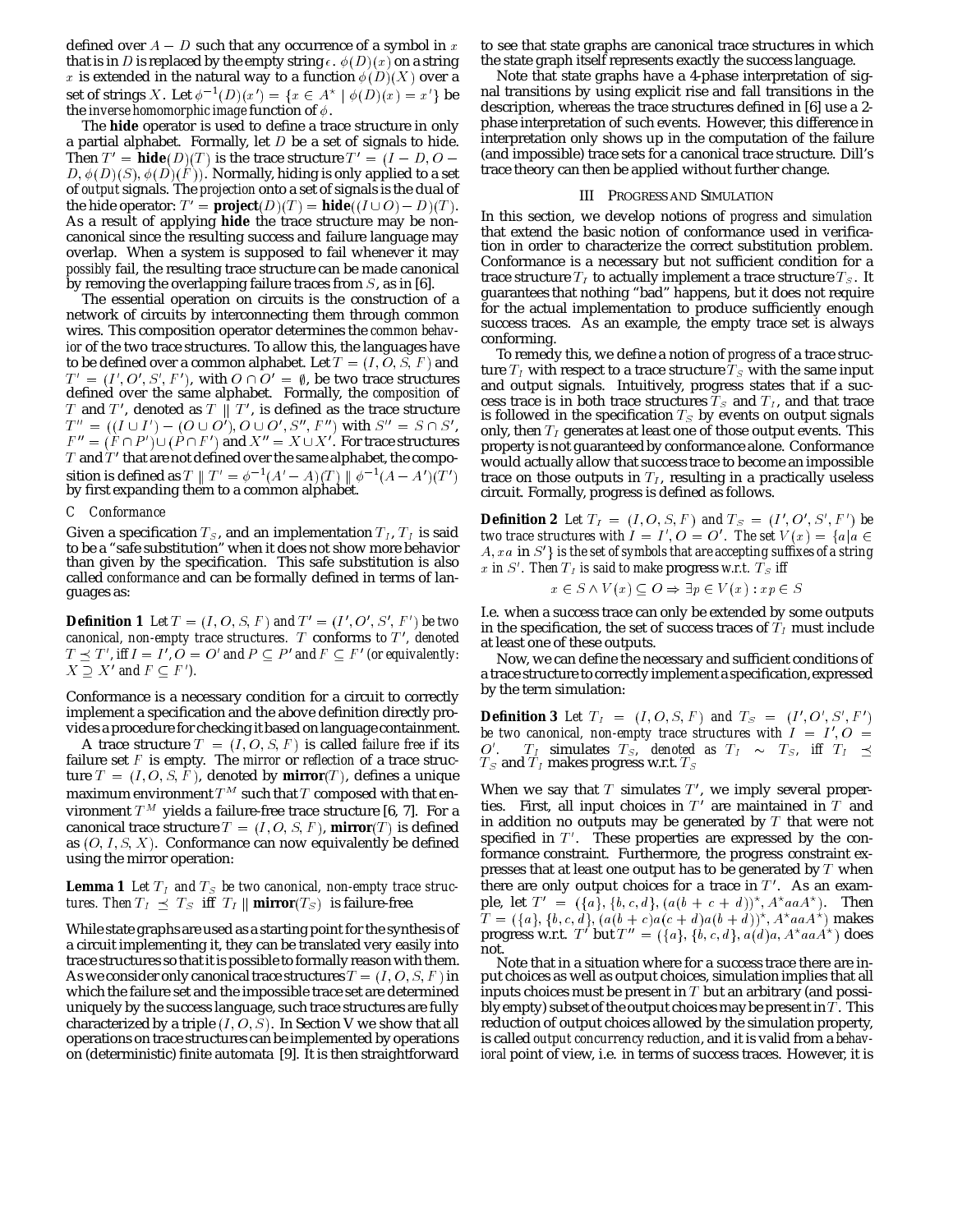defined over  $A - D$  such that any occurrence of a symbol in x that is in *D* is replaced by the empty string  $\epsilon$ .  $\phi(D)(x)$  on a string x is extended in the natural way to a function  $\phi(D)(X)$  over a set of strings X. Let  $\phi^{-1}(D)(x') = \{x \in A^* \mid \phi(D)(x) = x'\}$  be the *inverse homomorphic image* function of  $\phi$ .

The **hide** operator is used to define a trace structure in only a partial alphabet. Formally, let  $D$  be a set of signals to hide. Then  $T' = \textbf{hide}(D)(T)$  is the trace structure  $T' = (I - D, O - D)$  $D, \phi(D)(S), \phi(D)(F)$ . Normally, hiding is only applied to a set of *output* signals. The *projection* onto a set of signals is the dual of the hide operator:  $T' = \text{project}(D)(T) = \text{hide}((I \cup O) - D)(T)$ . As a result of applying **hide** the trace structure may be noncanonical since the resulting success and failure language may overlap. When a system is supposed to fail whenever it may *possibly* fail, the resulting trace structure can be made canonical by removing the overlapping failure traces from S, as in [6].

The essential operation on circuits is the construction of a network of circuits by interconnecting them through common wires. This composition operator determines the *common behavior* of the two trace structures. To allow this, the languages have to be defined over a common alphabet. Let  $T = (I, O, S, F)$  and  $T' = (I', O', S', F'),$  with  $O \cap O' = \emptyset$ , be two trace structures defined over the same alphabet. Formally, the *composition* of  $T$  and  $T'$ , denoted as  $T \parallel T'$ , is defined as the trace structure  $T'' = ((I \cup I') - (O \cup O'), O \cup O', S'', F'')$  with  $S'' = S \cap S',$  $F'' = (F \cap P') \cup (P \cap F')$  and  $X'' = X \cup X'$ . For trace structures  $T$  and  $T^\prime$  that are not defined over the same alphabet, the composition is defined as  $T \parallel T' = \phi^{-1} (A' - A)(T) \parallel \phi^{-1} (A - A')(T')$ by first expanding them to a common alphabet.

#### *C Conformance*

Given a specification  $T<sub>S</sub>$ , and an implementation  $T<sub>I</sub>$ ,  $T<sub>I</sub>$  is said to be a "safe substitution" when it does not show more behavior than given by the specification. This safe substitution is also called *conformance* and can be formally defined in terms of languages as:

**Definition 1** Let  $T = (I, O, S, F)$  and  $T' = (I', O', S', F')$  be two *canonical, non-empty trace structures.*  $T$  conforms *to*  $T'$ *, denoted*  $T\preceq T'$  , iff  $I=I'$  ,  $O=O'$  and  $P\subseteq P'$  and  $F\subseteq F'$  (or equivalently:  $X \supseteq X'$  and  $F \subseteq F'$ ).

Conformance is a necessary condition for a circuit to correctly implement a specification and the above definition directly provides a procedure for checking it based on language containment.

A trace structure  $T = (I, O, S, F)$  is called *failure free* if its failure set F is empty. The *mirror* or *reflection* of a trace structure  $T = (I, O, S, F)$ , denoted by **mirror** $(T)$ , defines a unique maximum environment  $T^{\scriptscriptstyle M}$  such that  $T$  composed with that environment  $T^{\scriptscriptstyle{M}}$  yields a failure-free trace structure [6, 7]. For a canonical trace structure  $T = (I, O, S, F)$ , **mirror** $(T)$  is defined as  $(O, I, S, X)$ . Conformance can now equivalently be defined using the mirror operation:

**Lemma 1** Let  $T_I$  and  $T_S$  be two canonical, non-empty trace struc*tures. Then*  $T_I \preceq T_S$  iff  $T_I \parallel \text{mirror}(T_S)$  is failure-free.

While state graphs are used as a starting point for the synthesis of a circuit implementing it, they can be translated very easily into trace structures so that it is possible to formally reason with them. As we consider only canonical trace structures  $T = (I, O, S, F)$  in which the failure set and the impossible trace set are determined uniquely by the success language, such trace structures are fully characterized by a triple  $(I, O, S)$ . In Section V we show that all operations on trace structures can be implemented by operations on (deterministic) finite automata [9]. It is then straightforward

to see that state graphs are canonical trace structures in which the state graph itself represents exactly the success language.

Note that state graphs have a 4-phase interpretation of signal transitions by using explicit rise and fall transitions in the description, whereas the trace structures defined in [6] use a 2 phase interpretation of such events. However, this difference in interpretation only shows up in the computation of the failure (and impossible) trace sets for a canonical trace structure. Dill's trace theory can then be applied without further change.

#### III PROGRESS AND SIMULATION

In this section, we develop notions of *progress* and *simulation* that extend the basic notion of conformance used in verification in order to characterize the correct substitution problem. Conformance is a necessary but not sufficient condition for a trace structure  $T_I$  to actually implement a trace structure  $T_S$ . It guarantees that nothing "bad" happens, but it does not require for the actual implementation to produce sufficiently enough success traces. As an example, the empty trace set is always conforming.

To remedy this, we define a notion of *progress* of a trace structure  $T_{\mathcal{I}}$  with respect to a trace structure  $T_{\mathcal{S}}$  with the same input and output signals. Intuitively, progress states that if a success trace is in both trace structures  $T<sub>S</sub>$  and  $T<sub>I</sub>$ , and that trace is followed in the specification  $T_S$  by events on output signals only, then  $T_I$  generates at least one of those output events. This property is not guaranteed by conformance alone. Conformance would actually allow that success trace to become an impossible trace on those outputs in  $T_I$ , resulting in a practically useless circuit. Formally, progress is defined as follows.

**Definition 2** Let  $T_I = (I, O, S, F)$  and  $T_S = (I', O', S', F')$  be *two trace structures with*  $I = I', O = O'$ . The set  $V(x) = \{a | a \in$  $A$ ,  $x a$  in  $S'$  *is the set of symbols that are accepting suffixes of a string*  $x$  in  $S'$ . Then  $T_I$  is said to make progress w.r.t.  $T_S$  iff

$$
x \in S \land V(x) \subseteq O \Rightarrow \exists p \in V(x) : xp \in S
$$

I.e. when a success trace can only be extended by some outputs in the specification, the set of success traces of  $T_I$  must include at least one of these outputs.

Now, we can define the necessary and sufficient conditions of a trace structure to correctly implement a specification,expressed by the term simulation:

**Definition 3** Let  $T_I = (I, O, S, F)$  and  $T_S = (I', O', S', F')$ be two canonical, non-empty trace structures with  $I~=~I^{\prime}, O~=~$ O'. T<sub>I</sub> simulates T<sub>S</sub>, denoted as  $T_I \sim T_S$ , iff  $T_I \preceq$  $T_S$  and  $T_I$  makes progress w.r.t.  $T_S$ 

When we say that  $T$  simulates  $T^{\prime}$ , we imply several properties. First, all input choices in  $T^\prime$  are maintained in  $T$  and in addition no outputs may be generated by  $T$  that were not specified in  $T'$ . These properties are expressed by the conformance constraint. Furthermore, the progress constraint expresses that at least one output has to be generated by  $T$  when there are only output choices for a trace in  $T'$ . As an example, let  $T' = (\{a\}, \{b, c, d\}, (a(b + c + d))^{\star}, A^{\star}aa A^{\star}).$  Then  $T = (\{a\}, \{b, c, d\}, (a(b + c)a(c + d)a(b + d))^*$ ,  $A^*aa A^*$  makes progress w.r.t. T' but  $T' = (\{a\}, \{b, c, d\}, a(d)a, A^* a a A^*)$  does not.

Note that in a situation where for a success trace there are input choices as well as output choices, simulation implies that all inputs choices must be present in  $T$  but an arbitrary (and possibly empty) subset of the output choices may be present in  $T$ . This reduction of output choices allowed by the simulation property, is called *output concurrency reduction*, and it is valid from a *behavioral* point of view, i.e. in terms of success traces. However, it is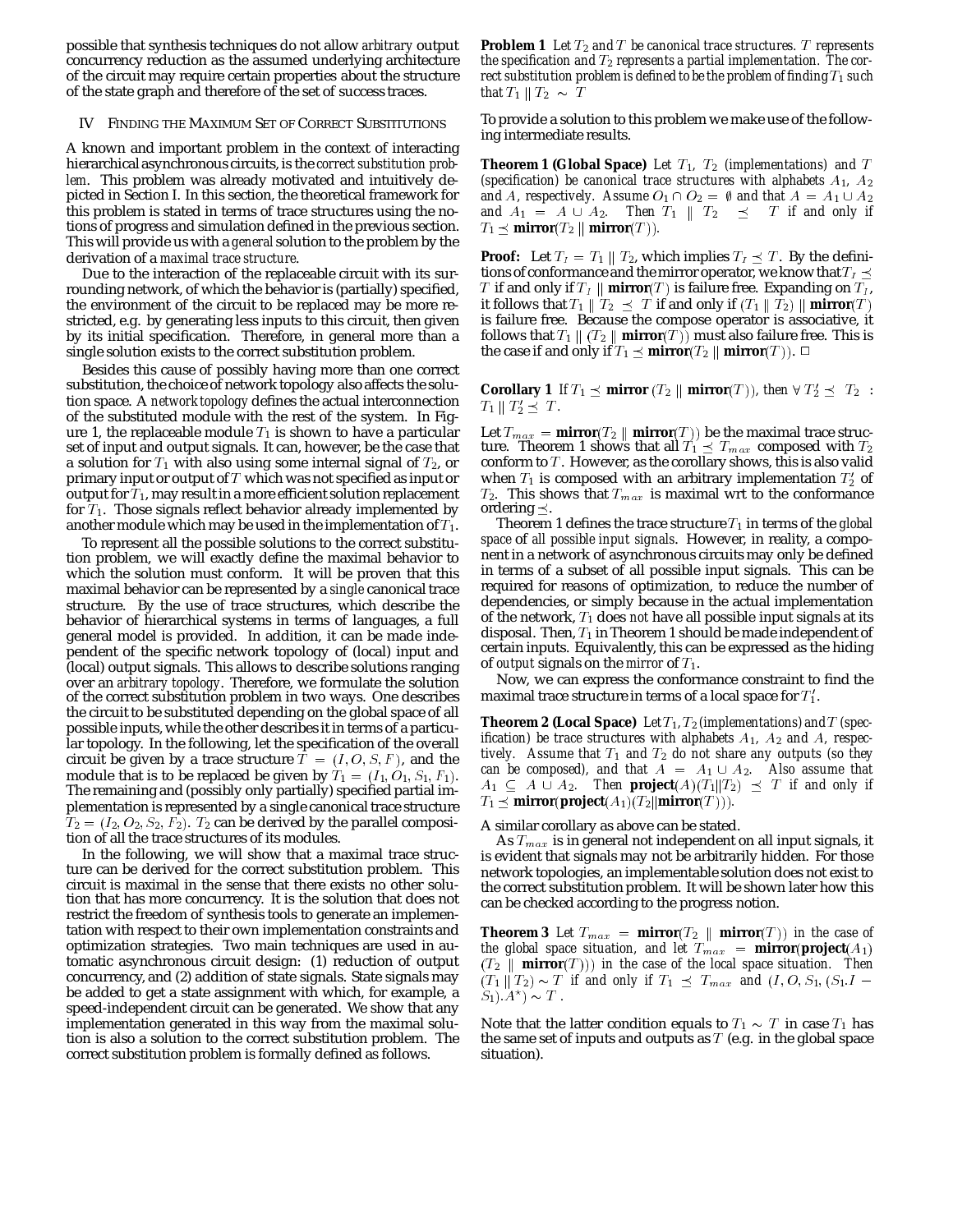possible that synthesis techniques do not allow *arbitrary* output concurrency reduction as the assumed underlying architecture of the circuit may require certain properties about the structure of the state graph and therefore of the set of success traces.

#### IV FINDING THE MAXIMUM SET OF CORRECT SUBSTITUTIONS

A known and important problem in the context of interacting hierarchical asynchronous circuits, is the *correct substitution problem*. This problem was already motivated and intuitively depicted in Section I. In this section, the theoretical framework for this problem is stated in terms of trace structures using the notions of progress and simulation defined in the previous section. This will provide us with a *general* solution to the problem by the derivation of a *maximal trace structure*.

Due to the interaction of the replaceable circuit with its surrounding network, of which the behavior is (partially) specified, the environment of the circuit to be replaced may be more restricted, e.g. by generating less inputs to this circuit, then given by its initial specification. Therefore, in general more than a single solution exists to the correct substitution problem.

Besides this cause of possibly having more than one correct substitution, the choice of network topology also affects the solution space. A *network topology* defines the actual interconnection of the substituted module with the rest of the system. In Figure 1, the replaceable module  $T_1$  is shown to have a particular set of input and output signals. It can, however, be the case that a solution for  $T_1$  with also using some internal signal of  $T_2$ , or primary input or output of  $T$  which was not specified as input or output for  $T_1$ , may result in a more efficient solution replacement for  $T_1$ . Those signals reflect behavior already implemented by another module which may be used in the implementation of  $T_1$ .

To represent all the possible solutions to the correct substitution problem, we will exactly define the maximal behavior to which the solution must conform. It will be proven that this maximal behavior can be represented by a *single* canonical trace structure. By the use of trace structures, which describe the behavior of hierarchical systems in terms of languages, a full general model is provided. In addition, it can be made independent of the specific network topology of (local) input and (local) output signals. This allows to describe solutions ranging over an *arbitrary topology*. Therefore, we formulate the solution of the correct substitution problem in two ways. One describes the circuit to be substituted depending on the global space of all possible inputs, while the other describes it in terms of a particular topology. In the following, let the specification of the overall circuit be given by a trace structure  $T = (I, O, S, F)$ , and the module that is to be replaced be given by  $T_1 = (I_1, O_1, S_1, F_1)$ . The remaining and (possibly only partially) specified partial implementation is represented by a single canonical trace structure  $T_2 = (I_2, O_2, S_2, F_2)$ .  $T_2$  can be derived by the parallel composition of all the trace structures of its modules.

In the following, we will show that a maximal trace structure can be derived for the correct substitution problem. This circuit is maximal in the sense that there exists no other solution that has more concurrency. It is the solution that does not restrict the freedom of synthesis tools to generate an implementation with respect to their own implementation constraints and optimization strategies. Two main techniques are used in automatic asynchronous circuit design: (1) reduction of output concurrency, and (2) addition of state signals. State signals may be added to get a state assignment with which, for example, a speed-independent circuit can be generated. We show that any implementation generated in this way from the maximal solution is also a solution to the correct substitution problem. The correct substitution problem is formally defined as follows.

**Problem 1** *Let*  $T_2$  *and*  $T$  *be canonical trace structures.*  $T$  *represents the specification and*  $T_2$  *represents a partial implementation. The correct substitution problem is defined to be the problem of finding*  $T_1$  *such that*  $T_1 \parallel T_2 \sim T$ 

To provide a solution to this problem we make use of the following intermediate results.

**Theorem 1 (Global Space)** *Let*  $T_1$ ,  $T_2$  *(implementations)* and  $T$ *(specification) be canonical trace structures with alphabets*  $A_1$ ,  $A_2$ *and* A, respectively. Assume  $O_1 \cap O_2 = \emptyset$  and that  $A = A_1 \cup A_2$ and  $A_1 = A \cup A_2$ . Then  $T_1 \parallel T_2 \preceq T$  *if and only if*  $T_1 \preceq \text{mirror}(T_2 \parallel \text{mirror}(T))$ .

**Proof:** Let  $T_I = T_1 \parallel T_2$ , which implies  $T_I \preceq T$ . By the definitions of conformance and the mirror operator, we know that  $T_I \preceq$ T if and only if  $T_I \parallel$  **mirror**(T) is failure free. Expanding on  $T_I$ , it follows that  $T_1 \parallel T_2 \preceq T$  if and only if  $(T_1 \parallel T_2) \parallel$  **mirror** $(T)$ is failure free. Because the compose operator is associative, it follows that  $T_1 \parallel (T_2 \parallel mirror(T))$  must also failure free. This is the case if and only if  $T_1 \preceq \text{mirror}(T_2 \parallel \text{mirror}(T))$ .  $\Box$ 

**Corollary 1** *If*  $T_1 \preceq$  **mirror**  $(T_2 \parallel$  **mirror** $(T)$ *), then*  $\forall$   $T_2' \preceq T_2$  :  $T_1 \, \| \, T_2 \, \preceq \, T.$ 

Let  $T_{max} = \text{mirror}(T_2 \parallel \text{mirror}(T) )$  be the maximal trace structure. Theorem 1 shows that all  $T_1 \preceq T_{max}$  composed with  $T_2$ conform to  $T$ . However, as the corollary shows, this is also valid when  $T_1$  is composed with an arbitrary implementation  $T_2$  of  $T_2$ . This shows that  $T_{max}$  is maximal wrt to the conformance ordering  $\prec$ .

Theorem 1 defines the trace structure  $T_1$  in terms of the *global space* of *all possible input signals*. However, in reality, a component in a network of asynchronous circuits may only be defined in terms of a subset of all possible input signals. This can be required for reasons of optimization, to reduce the number of dependencies, or simply because in the actual implementation of the network,  $T_1$  does *not* have all possible input signals at its disposal. Then,  $T_1$  in Theorem 1 should be made independent of certain inputs. Equivalently, this can be expressed as the hiding of *output* signals on the *mirror* of  $T_1$ .

Now, we can express the conformance constraint to find the maximal trace structure in terms of a local space for  $T_1^{\prime}.$ 

**Theorem 2 (Local Space)** Let  $T_1$ ,  $T_2$  (implementations) and  $T$  (spec*ification)* be trace structures with alphabets  $A_1$ ,  $A_2$  and  $A$ , respec*tively.* Assume that  $T_1$  and  $T_2$  do not share any outputs (so they *can be composed), and that*  $A = A_1 \cup A_2$ . Also assume that  $A_1 \subseteq A \cup A_2$ . Then **project** $(A)(T_1||T_2) \preceq T$  *if and only if*  $T_1 \preceq$  **mirror**(**project**( $A_1$ )( $T_2$ |**mirror**(*T*))).

A similar corollary as above can be stated.

As  $T_{max}$  is in general not independent on all input signals, it is evident that signals may not be arbitrarily hidden. For those network topologies, an implementable solution does not exist to the correct substitution problem. It will be shown later how this can be checked according to the progress notion.

**Theorem 3** Let  $T_{max}$  = **mirror**( $T_2$  || **mirror**( $T$ )) *in the case of the global space situation, and let*  $T_{max}$  = **mirror**(**project**( $A_1$ )  $(T_2 \parallel$  **mirror** $(T)$ )) *in the case of the local space situation. Then*  $(T_1 \parallel T_2) \sim T$  *if and only if*  $T_1 \preceq T_{max}$  *and*  $(I, O, S_1, (S_1, I (S_1) A^* \sim T$ .

Note that the latter condition equals to  $T_1 \sim T$  in case  $T_1$  has the same set of inputs and outputs as  $T$  (e.g. in the global space situation).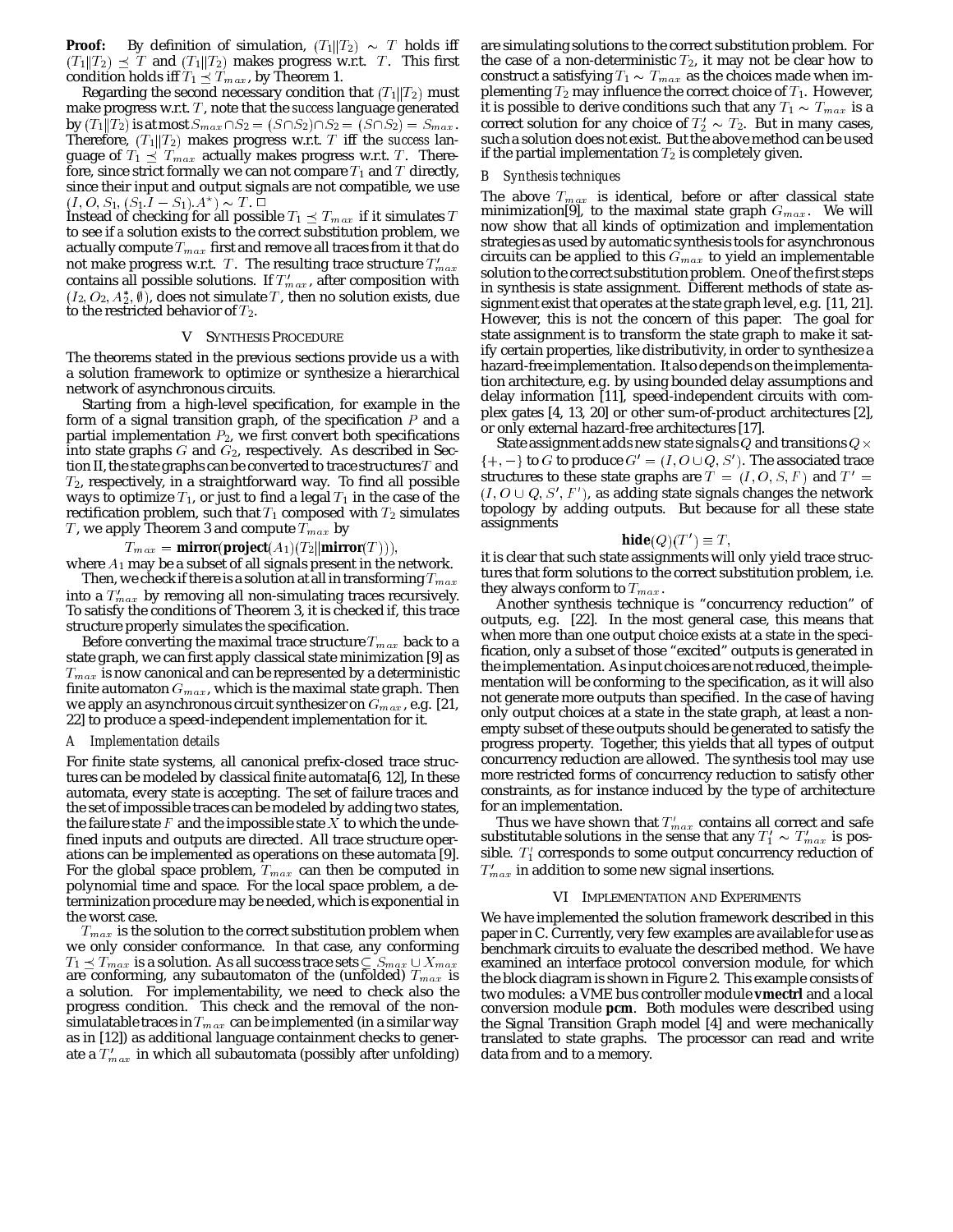**Proof:** By definition of simulation,  $(T_1||T_2) \sim T$  holds iff  $(T_1||T_2) \prec T$  and  $(T_1||T_2)$  makes progress w.r.t. T. This first condition holds iff  $T_1 \preceq T_{max}$ , by Theorem 1.

Regarding the second necessary condition that  $(T_1||T_2)$  must make progress w.r.t. T, note that the *success* language generated by  $(T_1 \| T_2)$  is at most  $S_{max} \cap S_2 = (S \cap S_2) \cap S_2 = (S \cap S_2) = S_{max}$ . Therefore,  $(T_1||T_2)$  makes progress w.r.t. T iff the *success* language of  $T_1 \preceq T_{max}$  actually makes progress w.r.t. T. Therefore, since strict formally we can not compare  $T_1$  and  $T$  directly, since their input and output signals are not compatible, we use  $(I, O, S_1, (S_1 I - S_1) A^*) \sim T. \square$ 

Instead of checking for all possible  $T_1 \prec T_{max}$  if it simulates T to see if *a* solution exists to the correct substitution problem, we actually compute  $T_{max}$  first and remove all traces from it that do not make progress w.r.t. T. The resulting trace structure  $T'_{max}$ contains all possible solutions. If  $T'_{max}$ , after composition with  $(I_2,O_2,A_2^*,\emptyset)$ , does not simulate  $T$ , then no solution exists, due to the restricted behavior of  $T_2$ .

## V SYNTHESIS PROCEDURE

The theorems stated in the previous sections provide us a with a solution framework to optimize or synthesize a hierarchical network of asynchronous circuits.

Starting from a high-level specification, for example in the form of a signal transition graph, of the specification  $P$  and a partial implementation  $P_2$ , we first convert both specifications into state graphs  $G$  and  $G_2$ , respectively. As described in Section II, the state graphs can be converted to trace structures  $T$  and  $T_2$ , respectively, in a straightforward way. To find all possible ways to optimize  $T_1$ , or just to find a legal  $T_1$  in the case of the rectification problem, such that  $T_1$  composed with  $T_2$  simulates T, we apply Theorem 3 and compute  $T_{max}$  by

 $T_{max} =$  **mirror**(**project**( $A_1$ )( $T_2$ ||**mirror**(*T*))),

where <sup>A</sup><sup>1</sup> may be a subset of all signals present in the network. Then, we check if there is a solution at all in transforming  $T_{max}$ 

into a  $T'_{max}$  by removing all non-simulating traces recursively. To satisfy the conditions of Theorem 3, it is checked if, this trace structure properly simulates the specification.

Before converting the maximal trace structure  $T_{max}$  back to a state graph, we can first apply classical state minimization [9] as  $T_{max}$  is now canonical and can be represented by a deterministic finite automaton  $G_{max}$ , which is the maximal state graph. Then we apply an asynchronous circuit synthesizer on  $G_{max}$ , e.g. [21, 22] to produce a speed-independent implementation for it.

#### *A Implementation details*

For finite state systems, all canonical prefix-closed trace structures can be modeled by classical finite automata[6, 12], In these automata, every state is accepting. The set of failure traces and the set of impossible traces can be modeled by adding two states, the failure state  $F$  and the impossible state  $X$  to which the undefined inputs and outputs are directed. All trace structure operations can be implemented as operations on these automata [9]. For the global space problem,  $T_{max}$  can then be computed in polynomial time and space. For the local space problem, a determinization procedure may be needed, which is exponential in the worst case.

 $T_{max}$  is the solution to the correct substitution problem when we only consider conformance. In that case, any conforming  $T_1 \preceq T_{max}$  is a solution. As all success trace sets  $\subseteq S_{max} \cup X_{max}$ are conforming, any subautomaton of the (unfolded)  $T_{max}$  is a solution. For implementability, we need to check also the progress condition. This check and the removal of the nonsimulatable traces in  $T_{max}$  can be implemented (in a similar way as in [12]) as additional language containment checks to generate a  $T_{max}$  in which all subautomata (possibly after unfolding)

are simulating solutions to the correct substitution problem. For the case of a non-deterministic  $T_2$ , it may not be clear how to construct a satisfying  $T_1 \sim T_{max}$  as the choices made when implementing  $T_2$  may influence the correct choice of  $T_1$ . However, it is possible to derive conditions such that any  $T_1 \sim T_{max}$  is a correct solution for any choice of  $T_2 \sim T_2$ . But in many cases, such a solution does not exist. But the above method can be used if the partial implementation  $T_2$  is completely given.

### *B Synthesis techniques*

The above  $T_{max}$  is identical, before or after classical state minimization[9], to the maximal state graph  $G_{max}$ . We will now show that all kinds of optimization and implementation strategies as used by automatic synthesis tools for asynchronous circuits can be applied to this  $G_{max}$  to yield an implementable solution to the correct substitution problem. One of the first steps in synthesis is state assignment. Different methods of state assignment exist that operates at the state graph level, e.g. [11, 21]. However, this is not the concern of this paper. The goal for state assignment is to transform the state graph to make it satify certain properties, like distributivity, in order to synthesize a hazard-free implementation. It also depends on the implementation architecture, e.g. by using bounded delay assumptions and delay information [11], speed-independent circuits with complex gates [4, 13, 20] or other sum-of-product architectures [2], or only external hazard-free architectures [17].

State assignment adds new state signals  $Q$  and transitions  $Q \times$  $\{+, -\}$  to G to produce  $G' = (I, O \cup Q, S')$ . The associated trace structures to these state graphs are  $T = (I, O, S, F)$  and  $T' =$  $(I, O \cup Q, S', F')$ , as adding state signals changes the network topology by adding outputs. But because for all these state assignments

## $\textbf{hide}(Q) (T') \equiv T ,$

it is clear that such state assignments will only yield trace structures that form solutions to the correct substitution problem, i.e. they always conform to  $T_{max}$ .

Another synthesis technique is "concurrency reduction" of outputs, e.g. [22]. In the most general case, this means that when more than one output choice exists at a state in the specification, only a subset of those "excited" outputs is generated in the implementation. As input choices are not reduced, the implementation will be conforming to the specification, as it will also not generate more outputs than specified. In the case of having only output choices at a state in the state graph, at least a nonempty subset of these outputs should be generated to satisfy the progress property. Together, this yields that all types of output concurrency reduction are allowed. The synthesis tool may use more restricted forms of concurrency reduction to satisfy other constraints, as for instance induced by the type of architecture for an implementation.

Thus we have shown that  $T'_{max}$  contains all correct and safe substitutable solutions in the sense that any  $T_1' \sim T_{max}'$  is possible.  $\, T'_{1}$  corresponds to some output concurrency reduction of  $T'_{max}$  in addition to some new signal insertions.

#### VI IMPLEMENTATION AND EXPERIMENTS

We have implemented the solution framework described in this paper in C. Currently, very few examples are available for use as benchmark circuits to evaluate the described method. We have examined an interface protocol conversion module, for which the block diagram is shown in Figure 2. This example consists of two modules: a VME bus controller module **vmectrl** and a local conversion module **pcm**. Both modules were described using the Signal Transition Graph model [4] and were mechanically translated to state graphs. The processor can read and write data from and to a memory.